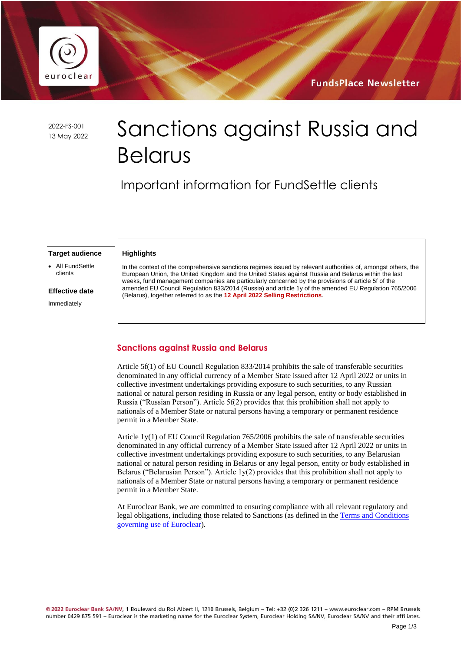

**FundsPlace Newsletter** 

2022-FS-001

# 2022-FS-001 Sanctions against Russia and Belarus

Important information for FundSettle clients

#### **Target audience**

**Highlights** 

• All FundSettle clients

#### **Effective date**

Immediately

In the context of the comprehensive sanctions regimes issued by relevant authorities of, amongst others, the European Union, the United Kingdom and the United States against Russia and Belarus within the last weeks, fund management companies are particularly concerned by the provisions of article 5f of the amended EU Council Regulation 833/2014 (Russia) and article 1y of the amended EU Regulation 765/2006 (Belarus), together referred to as the **12 April 2022 Selling Restrictions**.

#### **Sanctions against Russia and Belarus**

Article 5f(1) of EU Council Regulation 833/2014 prohibits the sale of transferable securities denominated in any official currency of a Member State issued after 12 April 2022 or units in collective investment undertakings providing exposure to such securities, to any Russian national or natural person residing in Russia or any legal person, entity or body established in Russia ("Russian Person"). Article 5f(2) provides that this prohibition shall not apply to nationals of a Member State or natural persons having a temporary or permanent residence permit in a Member State.

Article 1y(1) of EU Council Regulation 765/2006 prohibits the sale of transferable securities denominated in any official currency of a Member State issued after 12 April 2022 or units in collective investment undertakings providing exposure to such securities, to any Belarusian national or natural person residing in Belarus or any legal person, entity or body established in Belarus ("Belarusian Person"). Article 1y(2) provides that this prohibition shall not apply to nationals of a Member State or natural persons having a temporary or permanent residence permit in a Member State.

At Euroclear Bank, we are committed to ensuring compliance with all relevant regulatory and legal obligations, including those related to Sanctions (as defined in th[e Terms and Conditions](https://my.euroclear.com/content/dam/euroclear/Operational/EB/Legal%20information/Terms%20and%20conditions/public/LG310-terms-and-conditions-governing-use-of-euroclear.pdf)  [governing use of Euroclear\)](https://my.euroclear.com/content/dam/euroclear/Operational/EB/Legal%20information/Terms%20and%20conditions/public/LG310-terms-and-conditions-governing-use-of-euroclear.pdf).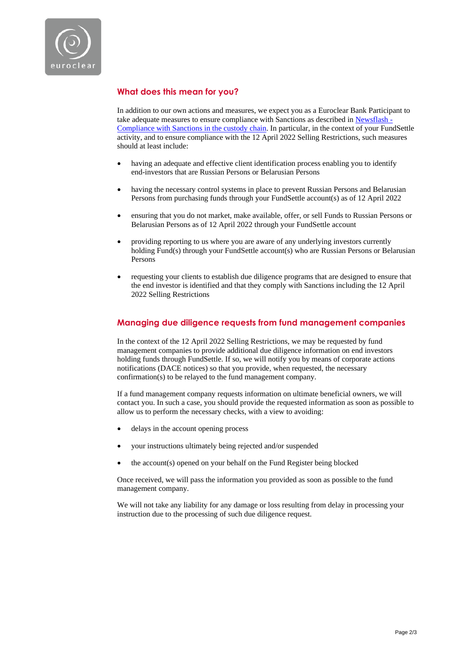

## **What does this mean for you?**

In addition to our own actions and measures, we expect you as a Euroclear Bank Participant to take adequate measures to ensure compliance with Sanctions as described in [Newsflash -](https://my.euroclear.com/eb/en/news/newsflashes/other/2021/Newsflash-Compliance-with-Sanctions-in-the-custody-chain.html) [Compliance with Sanctions in the custody chain.](https://my.euroclear.com/eb/en/news/newsflashes/other/2021/Newsflash-Compliance-with-Sanctions-in-the-custody-chain.html) In particular, in the context of your FundSettle activity, and to ensure compliance with the 12 April 2022 Selling Restrictions, such measures should at least include:

- having an adequate and effective client identification process enabling you to identify end-investors that are Russian Persons or Belarusian Persons
- having the necessary control systems in place to prevent Russian Persons and Belarusian Persons from purchasing funds through your FundSettle account(s) as of 12 April 2022
- ensuring that you do not market, make available, offer, or sell Funds to Russian Persons or Belarusian Persons as of 12 April 2022 through your FundSettle account
- providing reporting to us where you are aware of any underlying investors currently holding Fund(s) through your FundSettle account(s) who are Russian Persons or Belarusian Persons
- requesting your clients to establish due diligence programs that are designed to ensure that the end investor is identified and that they comply with Sanctions including the 12 April 2022 Selling Restrictions

#### **Managing due diligence requests from fund management companies**

In the context of the 12 April 2022 Selling Restrictions, we may be requested by fund management companies to provide additional due diligence information on end investors holding funds through FundSettle. If so, we will notify you by means of corporate actions notifications (DACE notices) so that you provide, when requested, the necessary confirmation(s) to be relayed to the fund management company.

If a fund management company requests information on ultimate beneficial owners, we will contact you. In such a case, you should provide the requested information as soon as possible to allow us to perform the necessary checks, with a view to avoiding:

- delays in the account opening process
- your instructions ultimately being rejected and/or suspended
- the account(s) opened on your behalf on the Fund Register being blocked

Once received, we will pass the information you provided as soon as possible to the fund management company.

We will not take any liability for any damage or loss resulting from delay in processing your instruction due to the processing of such due diligence request.